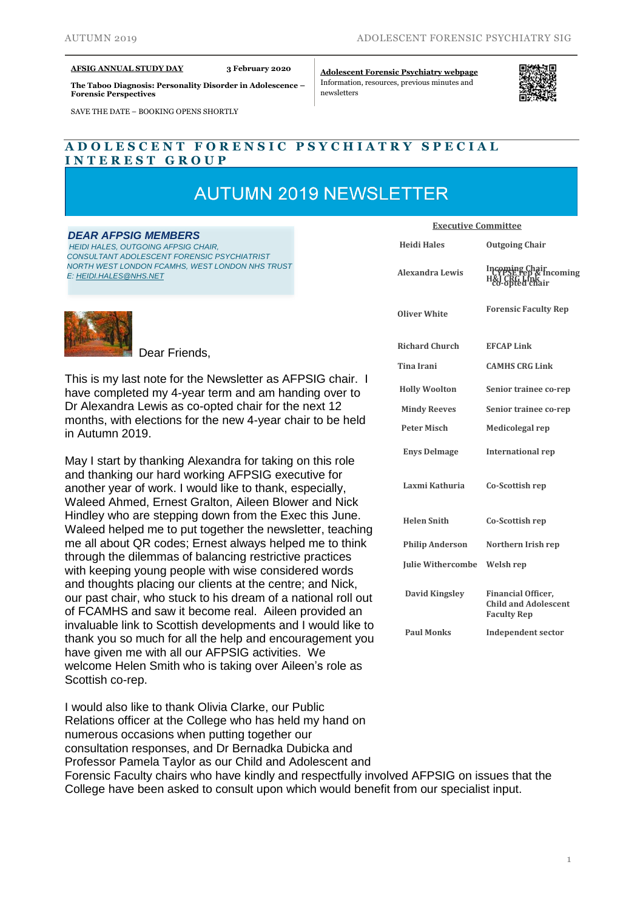#### **AFSIG ANNUAL STUDY DAY 3 February 2020**

**The Taboo Diagnosis: Personality Disorder in Adolescence – Forensic Perspectives**

SAVE THE DATE – BOOKING OPENS SHORTLY

**[Adolescent](https://www.rcpsych.ac.uk/members/special-interest-groups/adolescent-forensic-psychiatry) Forensic Psychiatry webpage** Information, resources, previous minutes and newsletters



# **A D O L E S C E N T F O R E N S I C P S Y C H I A T R Y S P E C I A L I N T E R E S T G R O U P**

# **AUTUMN 2019 NEWSLETTER**

#### *DEAR AFPSIG MEMBERS*

 *HEIDI HALES, OUTGOING AFPSIG CHAIR, CONSULTANT ADOLESCENT FORENSIC PSYCHIATRIST NORTH WEST LONDON FCAMHS, WEST LONDON NHS TRUST E: [HEIDI.HALES@NHS.NET](mailto:heidi.hales@nhs.net)*



Dear Friends,

This is my last note for the Newsletter as AFPSIG chair. I have completed my 4-year term and am handing over to Dr Alexandra Lewis as co-opted chair for the next 12 months, with elections for the new 4-year chair to be held in Autumn 2019.

May I start by thanking Alexandra for taking on this role and thanking our hard working AFPSIG executive for another year of work. I would like to thank, especially, Waleed Ahmed, Ernest Gralton, Aileen Blower and Nick Hindley who are stepping down from the Exec this June. Waleed helped me to put together the newsletter, teaching me all about QR codes; Ernest always helped me to think through the dilemmas of balancing restrictive practices with keeping young people with wise considered words and thoughts placing our clients at the centre; and Nick, our past chair, who stuck to his dream of a national roll out of FCAMHS and saw it become real. Aileen provided an invaluable link to Scottish developments and I would like to thank you so much for all the help and encouragement you have given me with all our AFPSIG activities. We welcome Helen Smith who is taking over Aileen's role as Scottish co-rep.

I would also like to thank Olivia Clarke, our Public Relations officer at the College who has held my hand on numerous occasions when putting together our consultation responses, and Dr Bernadka Dubicka and Professor Pamela Taylor as our Child and Adolescent and Forensic Faculty chairs who have kindly and respectfully involved AFPSIG on issues that the College have been asked to consult upon which would benefit from our specialist input.

| <b>Executive Committee</b> |                                                                                |
|----------------------------|--------------------------------------------------------------------------------|
| <b>Heidi Hales</b>         | <b>Outgoing Chair</b>                                                          |
| <b>Alexandra Lewis</b>     | Incoming Chair<br>The PSE rep & Incoming<br>H&J`CRG`LmR`'''<br>co-opted chair  |
| <b>Oliver White</b>        | <b>Forensic Faculty Rep</b>                                                    |
| <b>Richard Church</b>      | <b>EFCAP Link</b>                                                              |
| <b>Tina Irani</b>          | <b>CAMHS CRG Link</b>                                                          |
| <b>Holly Woolton</b>       | Senior trainee co-rep                                                          |
| <b>Mindy Reeves</b>        | Senior trainee co-rep                                                          |
| <b>Peter Misch</b>         | Medicolegal rep                                                                |
| <b>Enys Delmage</b>        | <b>International rep</b>                                                       |
| Laxmi Kathuria             | Co-Scottish rep                                                                |
| <b>Helen Snith</b>         | Co-Scottish rep                                                                |
| <b>Philip Anderson</b>     | Northern Irish rep                                                             |
| <b>Julie Withercombe</b>   | Welsh rep                                                                      |
| <b>David Kingsley</b>      | <b>Financial Officer,</b><br><b>Child and Adolescent</b><br><b>Faculty Rep</b> |
| <b>Paul Monks</b>          | <b>Independent sector</b>                                                      |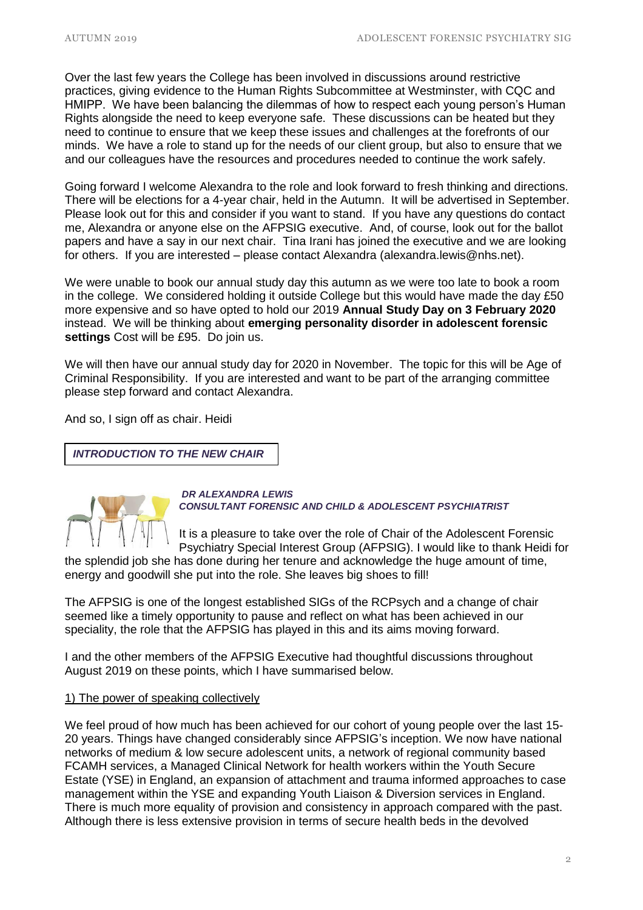Over the last few years the College has been involved in discussions around restrictive practices, giving evidence to the Human Rights Subcommittee at Westminster, with CQC and HMIPP. We have been balancing the dilemmas of how to respect each young person's Human Rights alongside the need to keep everyone safe. These discussions can be heated but they need to continue to ensure that we keep these issues and challenges at the forefronts of our minds. We have a role to stand up for the needs of our client group, but also to ensure that we and our colleagues have the resources and procedures needed to continue the work safely.

Going forward I welcome Alexandra to the role and look forward to fresh thinking and directions. There will be elections for a 4-year chair, held in the Autumn. It will be advertised in September. Please look out for this and consider if you want to stand. If you have any questions do contact me, Alexandra or anyone else on the AFPSIG executive. And, of course, look out for the ballot papers and have a say in our next chair. Tina Irani has joined the executive and we are looking for others. If you are interested – please contact Alexandra (alexandra.lewis@nhs.net).

We were unable to book our annual study day this autumn as we were too late to book a room in the college. We considered holding it outside College but this would have made the day £50 more expensive and so have opted to hold our 2019 **Annual Study Day on 3 February 2020** instead. We will be thinking about **emerging personality disorder in adolescent forensic settings** Cost will be £95. Do join us.

We will then have our annual study day for 2020 in November. The topic for this will be Age of Criminal Responsibility. If you are interested and want to be part of the arranging committee please step forward and contact Alexandra.

And so, I sign off as chair. Heidi

*INTRODUCTION TO THE NEW CHAIR*



*DR ALEXANDRA LEWIS CONSULTANT FORENSIC AND CHILD & ADOLESCENT PSYCHIATRIST*

It is a pleasure to take over the role of Chair of the Adolescent Forensic Psychiatry Special Interest Group (AFPSIG). I would like to thank Heidi for

the splendid job she has done during her tenure and acknowledge the huge amount of time, energy and goodwill she put into the role. She leaves big shoes to fill!

The AFPSIG is one of the longest established SIGs of the RCPsych and a change of chair seemed like a timely opportunity to pause and reflect on what has been achieved in our speciality, the role that the AFPSIG has played in this and its aims moving forward.

I and the other members of the AFPSIG Executive had thoughtful discussions throughout August 2019 on these points, which I have summarised below.

### 1) The power of speaking collectively

We feel proud of how much has been achieved for our cohort of young people over the last 15- 20 years. Things have changed considerably since AFPSIG's inception. We now have national networks of medium & low secure adolescent units, a network of regional community based FCAMH services, a Managed Clinical Network for health workers within the Youth Secure Estate (YSE) in England, an expansion of attachment and trauma informed approaches to case management within the YSE and expanding Youth Liaison & Diversion services in England. There is much more equality of provision and consistency in approach compared with the past. Although there is less extensive provision in terms of secure health beds in the devolved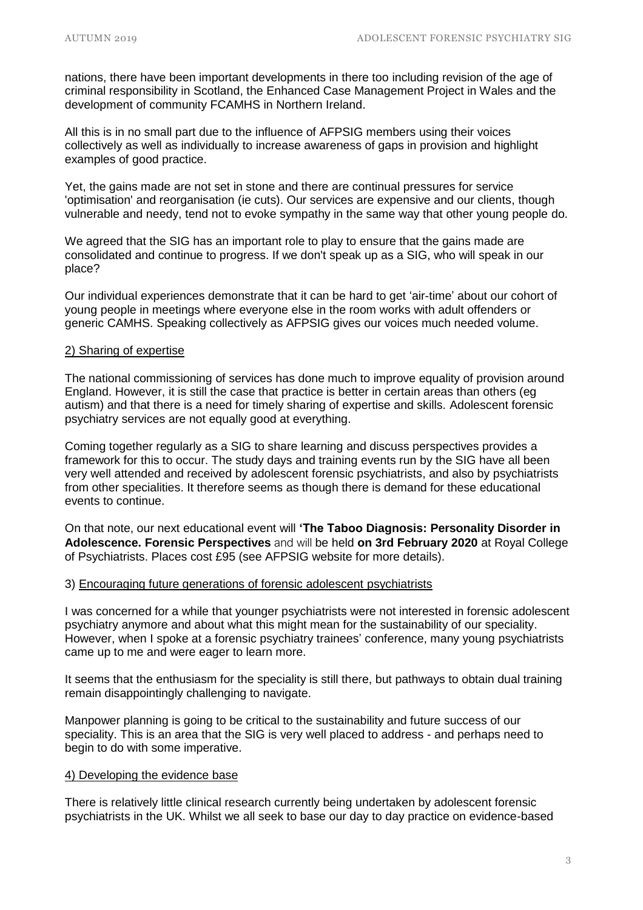nations, there have been important developments in there too including revision of the age of criminal responsibility in Scotland, the Enhanced Case Management Project in Wales and the development of community FCAMHS in Northern Ireland.

All this is in no small part due to the influence of AFPSIG members using their voices collectively as well as individually to increase awareness of gaps in provision and highlight examples of good practice.

Yet, the gains made are not set in stone and there are continual pressures for service 'optimisation' and reorganisation (ie cuts). Our services are expensive and our clients, though vulnerable and needy, tend not to evoke sympathy in the same way that other young people do.

We agreed that the SIG has an important role to play to ensure that the gains made are consolidated and continue to progress. If we don't speak up as a SIG, who will speak in our place?

Our individual experiences demonstrate that it can be hard to get 'air-time' about our cohort of young people in meetings where everyone else in the room works with adult offenders or generic CAMHS. Speaking collectively as AFPSIG gives our voices much needed volume.

### 2) Sharing of expertise

The national commissioning of services has done much to improve equality of provision around England. However, it is still the case that practice is better in certain areas than others (eg autism) and that there is a need for timely sharing of expertise and skills. Adolescent forensic psychiatry services are not equally good at everything.

Coming together regularly as a SIG to share learning and discuss perspectives provides a framework for this to occur. The study days and training events run by the SIG have all been very well attended and received by adolescent forensic psychiatrists, and also by psychiatrists from other specialities. It therefore seems as though there is demand for these educational events to continue.

On that note, our next educational event will **'The Taboo Diagnosis: Personality Disorder in Adolescence. Forensic Perspectives** and will be held **on 3rd February 2020** at Royal College of Psychiatrists. Places cost £95 (see AFPSIG website for more details).

### 3) Encouraging future generations of forensic adolescent psychiatrists

I was concerned for a while that younger psychiatrists were not interested in forensic adolescent psychiatry anymore and about what this might mean for the sustainability of our speciality. However, when I spoke at a forensic psychiatry trainees' conference, many young psychiatrists came up to me and were eager to learn more.

It seems that the enthusiasm for the speciality is still there, but pathways to obtain dual training remain disappointingly challenging to navigate.

Manpower planning is going to be critical to the sustainability and future success of our speciality. This is an area that the SIG is very well placed to address - and perhaps need to begin to do with some imperative.

#### 4) Developing the evidence base

There is relatively little clinical research currently being undertaken by adolescent forensic psychiatrists in the UK. Whilst we all seek to base our day to day practice on evidence-based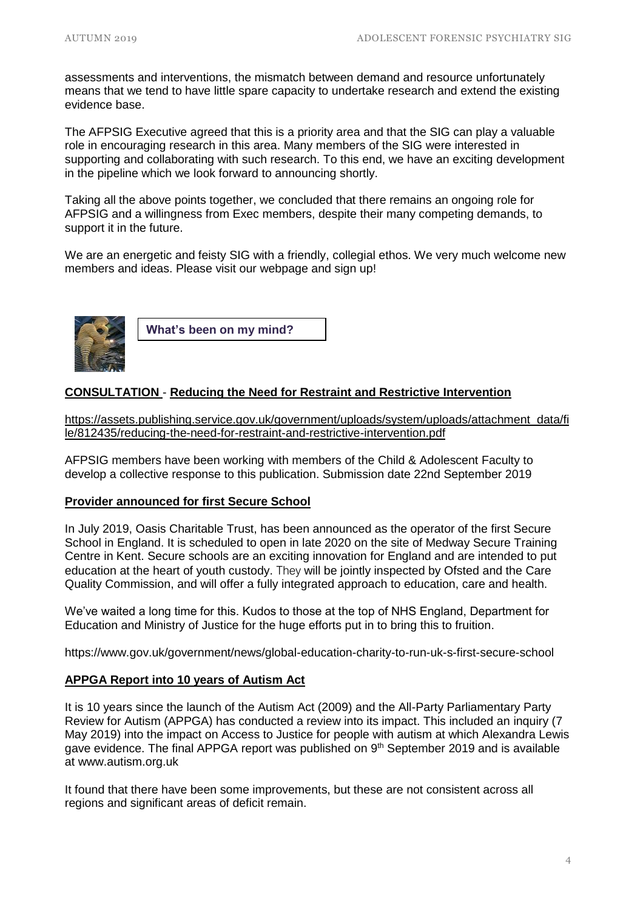assessments and interventions, the mismatch between demand and resource unfortunately means that we tend to have little spare capacity to undertake research and extend the existing evidence base.

The AFPSIG Executive agreed that this is a priority area and that the SIG can play a valuable role in encouraging research in this area. Many members of the SIG were interested in supporting and collaborating with such research. To this end, we have an exciting development in the pipeline which we look forward to announcing shortly.

Taking all the above points together, we concluded that there remains an ongoing role for AFPSIG and a willingness from Exec members, despite their many competing demands, to support it in the future.

We are an energetic and feisty SIG with a friendly, collegial ethos. We very much welcome new members and ideas. Please visit our webpage and sign up!



**What's been on my mind?**

# **CONSULTATION** - **Reducing the Need for Restraint and Restrictive Intervention**

[https://assets.publishing.service.gov.uk/government/uploads/system/uploads/attachment\\_data/fi](https://assets.publishing.service.gov.uk/government/uploads/system/uploads/attachment_data/file/812435/reducing-the-need-for-restraint-and-restrictive-intervention.pdf) [le/812435/reducing-the-need-for-restraint-and-restrictive-intervention.pdf](https://assets.publishing.service.gov.uk/government/uploads/system/uploads/attachment_data/file/812435/reducing-the-need-for-restraint-and-restrictive-intervention.pdf)

AFPSIG members have been working with members of the Child & Adolescent Faculty to develop a collective response to this publication. Submission date 22nd September 2019

### **Provider announced for first Secure School**

In July 2019, Oasis Charitable Trust, has been announced as the operator of the first Secure School in England. It is scheduled to open in late 2020 on the site of Medway Secure Training Centre in Kent. Secure schools are an exciting innovation for England and are intended to put education at the heart of youth custody. They will be jointly inspected by Ofsted and the Care Quality Commission, and will offer a fully integrated approach to education, care and health.

We've waited a long time for this. Kudos to those at the top of NHS England, Department for Education and Ministry of Justice for the huge efforts put in to bring this to fruition.

https://www.gov.uk/government/news/global-education-charity-to-run-uk-s-first-secure-school

# **APPGA Report into 10 years of Autism Act**

It is 10 years since the launch of the Autism Act (2009) and the All-Party Parliamentary Party Review for Autism (APPGA) has conducted a review into its impact. This included an inquiry (7 May 2019) into the impact on Access to Justice for people with autism at which Alexandra Lewis gave evidence. The final APPGA report was published on  $9<sup>th</sup>$  September 2019 and is available at www.autism.org.uk

It found that there have been some improvements, but these are not consistent across all regions and significant areas of deficit remain.